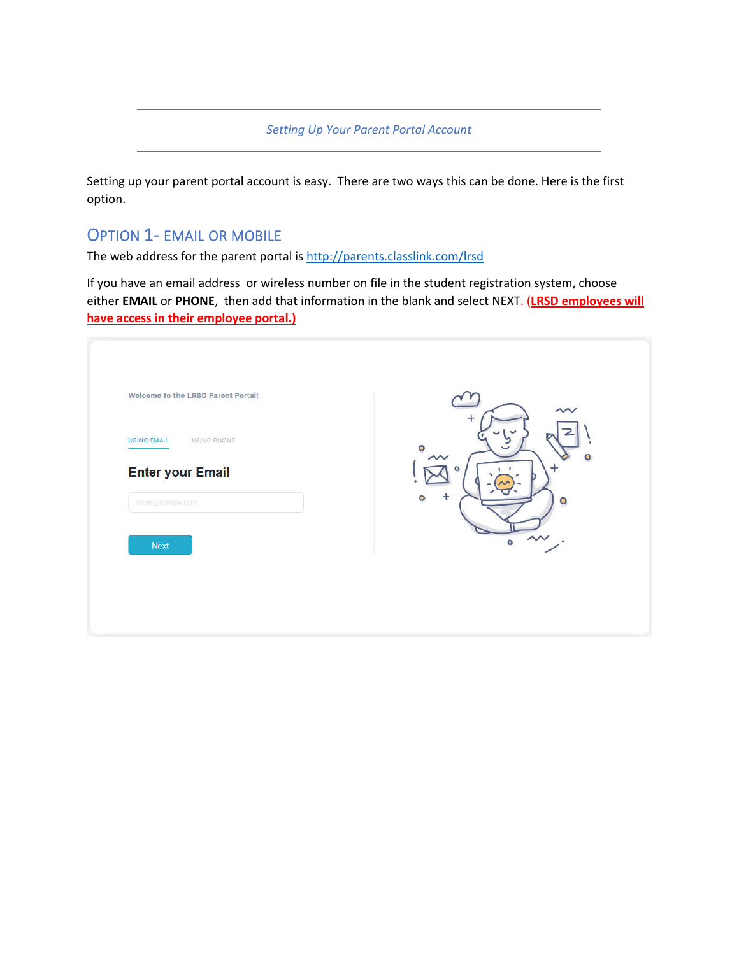*Setting Up Your Parent Portal Account*

Setting up your parent portal account is easy. There are two ways this can be done. Here is the first option.

## OPTION 1- EMAIL OR MOBILE

The web address for the parent portal is http://parents.classlink.com/lrsd

If you have an email address or wireless number on file in the student registration system, choose either **EMAIL** or **PHONE**, then add that information in the blank and select NEXT. (**LRSD employees will have access in their employee portal.)**

| Welcome to the LRSD Parent Portal!          | $\sim$<br>٠         |
|---------------------------------------------|---------------------|
| USING EMAIL<br>USING PHONE                  | $\bullet$<br>$\sim$ |
| <b>Enter your Email</b><br>email@domain.com | ÷<br>O<br>٥         |
| Next                                        | $\circ$ $\sim$ .    |
|                                             |                     |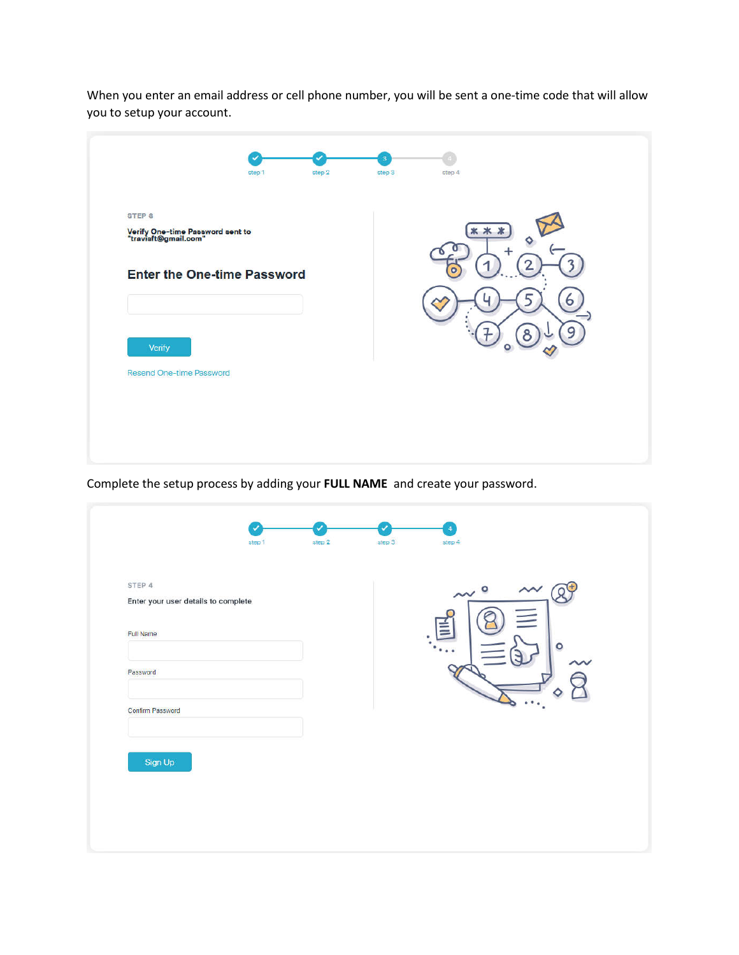When you enter an email address or cell phone number, you will be sent a one-time code that will allow you to setup your account.

|                                                                               | step 1 | step 2 | $\overline{\mathbf{3}}$<br>step 3 | step 4 |   |
|-------------------------------------------------------------------------------|--------|--------|-----------------------------------|--------|---|
| STEP <sub>3</sub><br>Verify One-time Password sent to<br>"travisft@gmail.com" |        |        |                                   | **     |   |
| <b>Enter the One-time Password</b>                                            |        |        |                                   |        |   |
|                                                                               |        |        |                                   |        | o |
| Verify                                                                        |        |        |                                   |        | a |
| <b>Resend One-time Password</b>                                               |        |        |                                   |        |   |
|                                                                               |        |        |                                   |        |   |
|                                                                               |        |        |                                   |        |   |

Complete the setup process by adding your **FULL NAME** and create your password.

| STEP 4<br>Enter your user details to complete |  | $\sim$ $^{\circ}$ | $\sim$  |
|-----------------------------------------------|--|-------------------|---------|
| <b>Full Name</b>                              |  |                   | $\circ$ |
| Password                                      |  |                   |         |
| Confirm Password                              |  |                   |         |
|                                               |  |                   |         |
| Sign Up                                       |  |                   |         |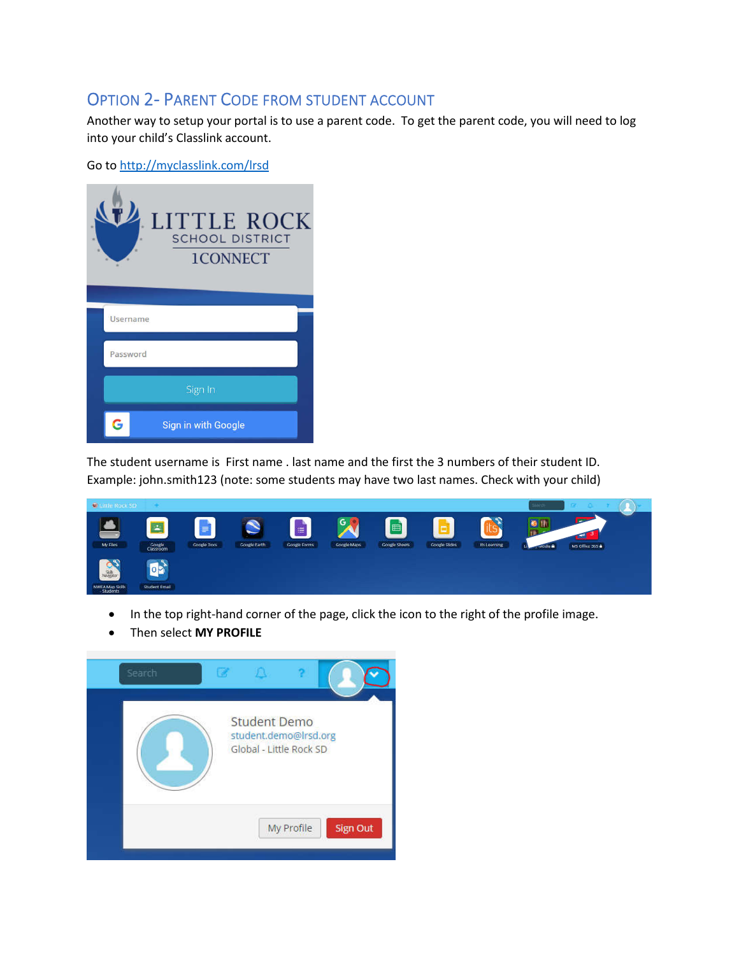## OPTION 2- PARENT CODE FROM STUDENT ACCOUNT

Another way to setup your portal is to use a parent code. To get the parent code, you will need to log into your child's Classlink account.

Go to http://myclasslink.com/lrsd



The student username is First name . last name and the first the 3 numbers of their student ID. Example: john.smith123 (note: some students may have two last names. Check with your child)



- In the top right-hand corner of the page, click the icon to the right of the profile image.
- Then select **MY PROFILE**

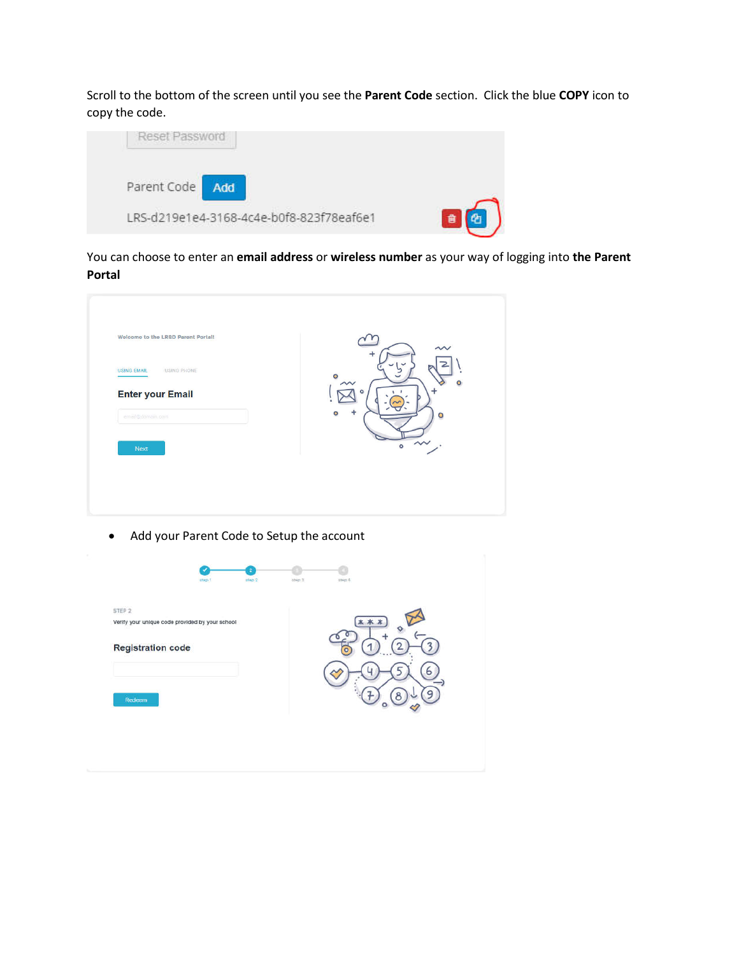Scroll to the bottom of the screen until you see the **Parent Code** section. Click the blue **COPY** icon to copy the code.



You can choose to enter an **email address** or **wireless number** as your way of logging into **the Parent Portal**



Add your Parent Code to Setup the account